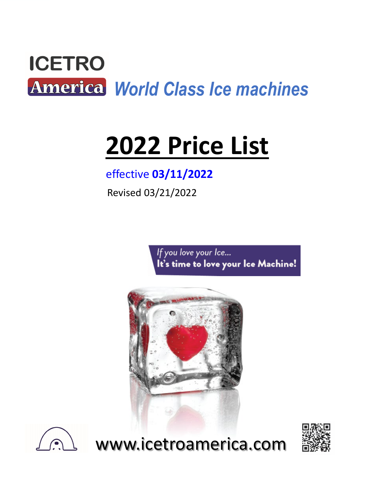

# **2022 Price List**

# effective **03/11/2022**

Revised 03/21/2022

If you love your Ice... It's time to love your Ice Machine!





www.icetroamerica.com

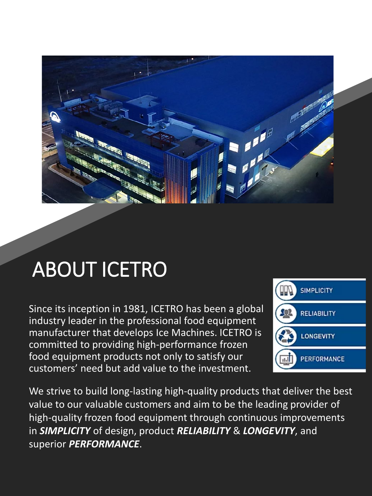

# ABOUT ICETRO

Since its inception in 1981, ICETRO has been a global industry leader in the professional food equipment manufacturer that develops Ice Machines. ICETRO is committed to providing high-performance frozen food equipment products not only to satisfy our customers' need but add value to the investment.



We strive to build long-lasting high-quality products that deliver the best value to our valuable customers and aim to be the leading provider of high-quality frozen food equipment through continuous improvements in *SIMPLICITY* of design, product *RELIABILITY* & *LONGEVITY*, and superior *PERFORMANCE*.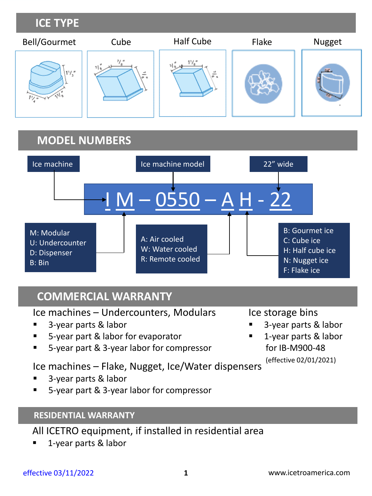# **ICE TYPE**



# **MODEL NUMBERS**



# **COMMERCIAL WARRANTY**

Ice machines – Undercounters, Modulars

- 3-year parts & labor
- 5-year part & labor for evaporator
- 5-year part & 3-year labor for compressor

Ice machines – Flake, Nugget, Ice/Water dispensers

- 3-year parts & labor
- 5-year part & 3-year labor for compressor

# **RESIDENTIAL WARRANTY**

All ICETRO equipment, if installed in residential area

1-year parts & labor

### Ice storage bins

- 3-year parts & labor
- 1-year parts & labor for IB-M900-48

(effective 02/01/2021)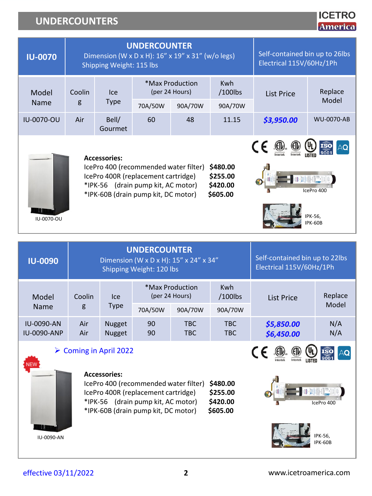# **UNDERCOUNTERS**

| <b>IU-0070</b>                                                                                                                                                                                                                                 | <b>UNDERCOUNTER</b><br>Dimension (W x D x H): 16" x 19" x 31" (w/o legs)<br>Shipping Weight: 115 lbs |                  |         |                                   |                          | Self-contained bin up to 26lbs<br>Electrical 115V/60Hz/1Ph |                                  |
|------------------------------------------------------------------------------------------------------------------------------------------------------------------------------------------------------------------------------------------------|------------------------------------------------------------------------------------------------------|------------------|---------|-----------------------------------|--------------------------|------------------------------------------------------------|----------------------------------|
| Model                                                                                                                                                                                                                                          | Coolin                                                                                               | <b>Ice</b>       |         | *Max Production<br>(per 24 Hours) | <b>Kwh</b><br>$/100$ lbs | List Price                                                 | Replace                          |
| <b>Name</b>                                                                                                                                                                                                                                    | g                                                                                                    | <b>Type</b>      | 70A/50W | 90A/70W                           | 90A/70W                  |                                                            | Model                            |
| <b>IU-0070-OU</b>                                                                                                                                                                                                                              | Air                                                                                                  | Bell/<br>Gourmet | 60      | 48                                | 11.15                    | \$3,950.00                                                 | <b>WU-0070-AB</b>                |
| <b>Accessories:</b><br>IcePro 400 (recommended water filter)<br>\$480.00<br>\$255.00<br>IcePro 400R (replacement cartridge)<br>*IPK-56 (drain pump kit, AC motor)<br>\$420.00<br>*IPK-60B (drain pump kit, DC motor)<br>\$605.00<br>IU-0070-OU |                                                                                                      |                  |         |                                   |                          |                                                            | IcePro 400<br>IPK-56.<br>IPK-60B |

| <b>IU-0090</b>                          | <b>UNDERCOUNTER</b><br>Dimension (W x D x H): 15" x 24" x 34"<br>Shipping Weight: 120 lbs |                                |          |                                   | Self-contained bin up to 22lbs<br>Electrical 115V/60Hz/1Ph |                          |            |
|-----------------------------------------|-------------------------------------------------------------------------------------------|--------------------------------|----------|-----------------------------------|------------------------------------------------------------|--------------------------|------------|
| Model                                   | Coolin                                                                                    | lce.                           |          | *Max Production<br>(per 24 Hours) | <b>Kwh</b><br>$/100$ lbs                                   | List Price               | Replace    |
| <b>Name</b>                             | g                                                                                         | <b>Type</b>                    | 70A/50W  | 90A/70W                           | 90A/70W                                                    |                          | Model      |
| <b>IU-0090-AN</b><br><b>IU-0090-ANP</b> | Air<br>Air                                                                                | <b>Nugget</b><br><b>Nugget</b> | 90<br>90 | <b>TBC</b><br><b>TBC</b>          | <b>TBC</b><br>TBC.                                         | \$5,850.00<br>\$6,450.00 | N/A<br>N/A |

#### Coming in April 2022



#### **Accessories:**

IcePro 400 (recommended water filter) **\$480.00** IcePro 400R (replacement cartridge) **\$255.00** \*IPK-56 (drain pump kit, AC motor) **\$420.00** \*IPK-60B (drain pump kit, DC motor) **\$605.00**



IPK-56, IPK-60B

**ICETRO America**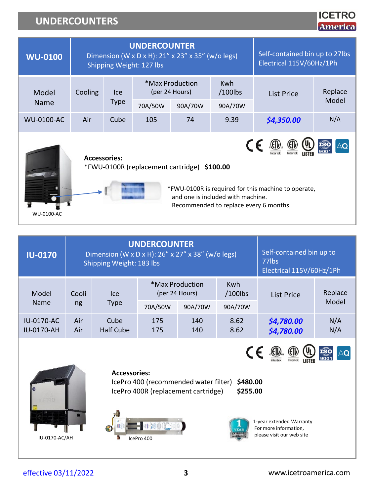# **UNDERCOUNTERS**

| <b>WU-0100</b>    | <b>UNDERCOUNTER</b><br>Dimension (W x D x H): 21" x 23" x 35" (w/o legs)<br>Shipping Weight: 127 lbs |             |                                   |                                             |                                                                             | Self-contained bin up to 27lbs<br>Electrical 115V/60Hz/1Ph |       |  |
|-------------------|------------------------------------------------------------------------------------------------------|-------------|-----------------------------------|---------------------------------------------|-----------------------------------------------------------------------------|------------------------------------------------------------|-------|--|
| Model             | Cooling                                                                                              | lce         | *Max Production<br>(per 24 Hours) |                                             | <b>Kwh</b><br>$/100$ lbs                                                    | Replace<br>List Price                                      |       |  |
| Name              |                                                                                                      | <b>Type</b> | 70A/50W                           | 90A/70W                                     | 90A/70W                                                                     |                                                            | Model |  |
| <b>WU-0100-AC</b> | Air                                                                                                  | Cube        | 9.39<br>105<br>74                 |                                             | \$4,350.00                                                                  | N/A                                                        |       |  |
| <b>WU-0100-AC</b> | <b>Accessories:</b>                                                                                  |             |                                   | *FWU-0100R (replacement cartridge) \$100.00 | and one is included with machine.<br>Recommended to replace every 6 months. | *FWU-0100R is required for this machine to operate,        |       |  |

| <b>IU-0170</b>                         |            | Dimension (W x D x H): 26" x 27" x 38" (w/o legs)<br>Shipping Weight: 183 lbs | <b>UNDERCOUNTER</b>               |            | Self-contained bin up to<br>77lbs<br>Electrical 115V/60Hz/1Ph |                          |                  |
|----------------------------------------|------------|-------------------------------------------------------------------------------|-----------------------------------|------------|---------------------------------------------------------------|--------------------------|------------------|
| Model                                  | Cooli      | Ice                                                                           | *Max Production<br>(per 24 Hours) |            | <b>Kwh</b><br>/100lbs                                         | List Price               | Replace<br>Model |
| <b>Name</b>                            | ng         | <b>Type</b>                                                                   | 70A/50W                           | 90A/70W    | 90A/70W                                                       |                          |                  |
| <b>IU-0170-AC</b><br><b>IU-0170-AH</b> | Air<br>Air | Cube<br><b>Half Cube</b>                                                      | 175<br>175                        | 140<br>140 | 8.62<br>8.62                                                  | \$4,780.00<br>\$4,780.00 | N/A<br>N/A       |



#### **Accessories:**

IcePro 400 (recommended water filter) **\$480.00** IcePro 400R (replacement cartridge) **\$255.00**



1-year extended Warranty For more information, please visit our web site

 $C \in \bigoplus_{\text{Increte}} \bigoplus_{\text{Increte}} \bigoplus_{\text{LISTED}}$ 

effective 03/11/2022

**ICETRO America**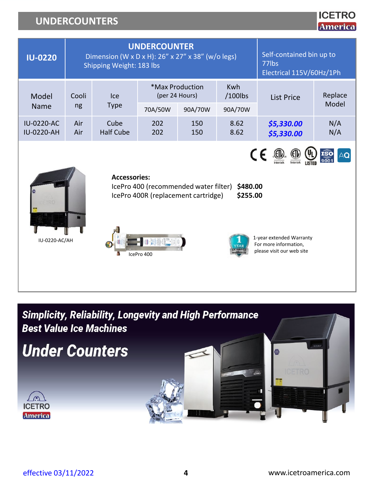# **UNDERCOUNTERS**



**Simplicity, Reliability, Longevity and High Performance Best Value Ice Machines** 

**Under Counters** 



**ICETRO**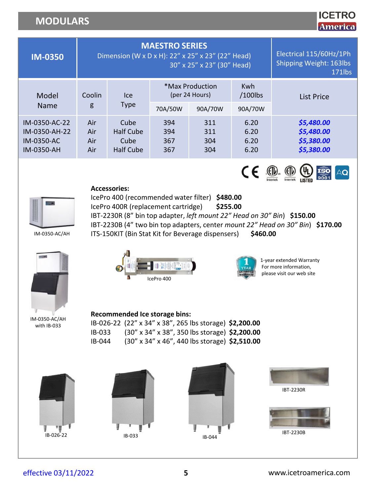**ICETRO America** 

| <b>IM-0350</b>                                                    | <b>MAESTRO SERIES</b><br>Dimension (W x D x H): 22" x 25" x 23" (22" Head)<br>30" x 25" x 23" (30" Head) |                                               |                          |                                              |                                     | Electrical 115/60Hz/1Ph<br><b>Shipping Weight: 163lbs</b><br>171lbs |
|-------------------------------------------------------------------|----------------------------------------------------------------------------------------------------------|-----------------------------------------------|--------------------------|----------------------------------------------|-------------------------------------|---------------------------------------------------------------------|
| Model<br><b>Name</b>                                              | Coolin<br>g                                                                                              | lce<br><b>Type</b>                            | 70A/50W                  | *Max Production<br>(per 24 Hours)<br>90A/70W | <b>Kwh</b><br>$/100$ lbs<br>90A/70W | List Price                                                          |
| IM-0350-AC-22<br>IM-0350-AH-22<br><b>IM-0350-AC</b><br>IM-0350-AH | Air<br>Air<br>Air<br>Air                                                                                 | Cube<br>Half Cube<br>Cube<br><b>Half Cube</b> | 394<br>394<br>367<br>367 | 311<br>311<br>304<br>304                     | 6.20<br>6.20<br>6.20<br>6.20        | \$5,480.00<br>\$5,480.00<br>\$5,380.00<br>\$5,380.00                |





IM-0350-AC/AH IBT-2230R (8" bin top adapter, *left mount 22" Head on 30" Bin*) **\$150.00**

**Accessories:**

IBT-2230B (4" two bin top adapters, center *mount 22" Head on 30" Bin*) **\$170.00** ITS-150KIT (Bin Stat Kit for Beverage dispensers) **\$460.00**

IM-0350-AC/AH with IB-033



IcePro 400 (recommended water filter) **\$480.00** IcePro 400R (replacement cartridge) **\$255.00**



1-year extended Warranty For more information, please visit our web site

#### **Recommended Ice storage bins:**

IB-026-22 (22" x 34" x 38", 265 lbs storage) **\$2,200.00** IB-033 (30" x 34" x 38", 350 lbs storage) **\$2,200.00** IB-044 (30" x 34" x 46", 440 lbs storage) **\$2,510.00**









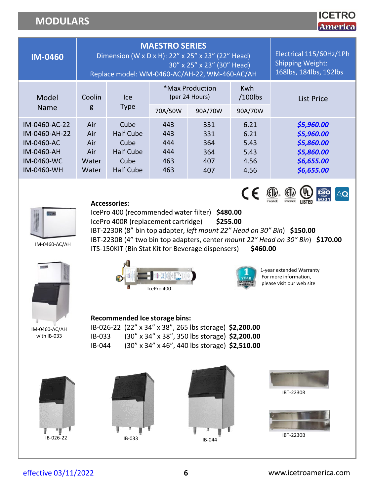|                |             |                                                                                                                             |                                                                              |         |                          | 7217713 8 14      |
|----------------|-------------|-----------------------------------------------------------------------------------------------------------------------------|------------------------------------------------------------------------------|---------|--------------------------|-------------------|
| <b>IM-0460</b> |             | <b>MAESTRO SERIES</b><br>Dimension (W x D x H): 22" x 25" x 23" (22" Head)<br>Replace model: WM-0460-AC/AH-22, WM-460-AC/AH | Electrical 115/60Hz/1Ph<br><b>Shipping Weight:</b><br>168lbs, 184lbs, 192lbs |         |                          |                   |
| Model<br>Name  | Coolin<br>g | <b>Ice</b><br><b>Type</b>                                                                                                   | *Max Production<br>(per 24 Hours)                                            |         | <b>Kwh</b><br>$/100$ lbs | <b>List Price</b> |
|                |             |                                                                                                                             | 70A/50W                                                                      | 90A/70W | 90A/70W                  |                   |
| IM-0460-AC-22  | Air         | Cube                                                                                                                        | 443                                                                          | 331     | 6.21                     | \$5,960.00        |
| IM-0460-AH-22  | Air         | <b>Half Cube</b>                                                                                                            | 443                                                                          | 331     | 6.21                     | \$5,960.00        |
| IM-0460-AC     | Air         | Cube                                                                                                                        | 444                                                                          | 364     | 5.43                     | \$5,860.00        |
| IM-0460-AH     | Air         | <b>Half Cube</b>                                                                                                            | 444                                                                          | 364     | 5.43                     | \$5,860.00        |
| IM-0460-WC     | Water       | Cube                                                                                                                        | 463                                                                          | 407     | 4.56                     | \$6,655.00        |
| IM-0460-WH     | Water       | <b>Half Cube</b>                                                                                                            | 463                                                                          | 407     | 4.56                     | \$6,655.00        |



#### **Accessories:**

IcePro 400 (recommended water filter) **\$480.00**

IcePro 400R (replacement cartridge) **\$255.00**

ITS-150KIT (Bin Stat Kit for Beverage dispensers) **\$460.00**

IBT-2230R (8" bin top adapter, *left mount 22" Head on 30" Bin*) **\$150.00**

IBT-2230B (4" two bin top adapters, center *mount 22" Head on 30" Bin*) **\$170.00**

IM-0460-AC/AH







1-year extended Warranty For more information, please visit our web site

 $C \in \bigoplus_{\text{interlex}} \bigoplus_{\text{Interlex}} \bigoplus_{\text{LISTB}} \overline{\text{ISO}}$ 

 $A$ Q

#### **Recommended Ice storage bins:**

IM-0460-AC/AH with IB-033

IB-026-22 (22" x 34" x 38", 265 lbs storage) **\$2,200.00** IB-033 (30" x 34" x 38", 350 lbs storage) **\$2,200.00** IB-044 (30" x 34" x 46", 440 lbs storage) **\$2,510.00**

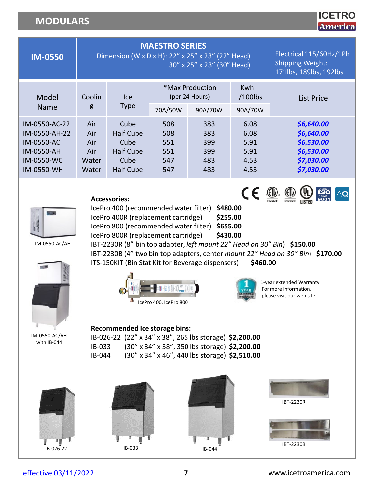### **ICETRO America**

AQ

| <b>IM-0550</b>                                                                                |                                            | <b>MAESTRO SERIES</b><br>Dimension (W x D x H): 22" x 25" x 23" (22" Head) | Electrical 115/60Hz/1Ph<br><b>Shipping Weight:</b><br>171lbs, 189lbs, 192lbs |                                        |                                              |                                                                                  |
|-----------------------------------------------------------------------------------------------|--------------------------------------------|----------------------------------------------------------------------------|------------------------------------------------------------------------------|----------------------------------------|----------------------------------------------|----------------------------------------------------------------------------------|
| Model                                                                                         | Coolin                                     | lce.                                                                       |                                                                              | *Max Production<br>(per 24 Hours)      | <b>Kwh</b><br>$/100$ lbs                     | List Price                                                                       |
| <b>Name</b>                                                                                   | g                                          | <b>Type</b>                                                                | 70A/50W                                                                      | 90A/70W                                | 90A/70W                                      |                                                                                  |
| IM-0550-AC-22<br>IM-0550-AH-22<br>IM-0550-AC<br>IM-0550-AH<br><b>IM-0550-WC</b><br>IM-0550-WH | Air<br>Air<br>Air<br>Air<br>Water<br>Water | Cube<br><b>Half Cube</b><br>Cube<br><b>Half Cube</b><br>Cube<br>Half Cube  | 508<br>508<br>551<br>551<br>547<br>547                                       | 383<br>383<br>399<br>399<br>483<br>483 | 6.08<br>6.08<br>5.91<br>5.91<br>4.53<br>4.53 | \$6,640.00<br>\$6,640.00<br>\$6,530.00<br>\$6,530.00<br>\$7,030.00<br>\$7,030.00 |



**Accessories:**

IcePro 400 (recommended water filter) **\$480.00** IcePro 400R (replacement cartridge) **\$255.00** IcePro 800 (recommended water filter) **\$655.00** IcePro 800R (replacement cartridge) **\$430.00** IBT-2230R (8" bin top adapter, *left mount 22" Head on 30" Bin*) **\$150.00**

IBT-2230B (4" two bin top adapters, center *mount 22" Head on 30" Bin*) **\$170.00**

IM-0550-AC/AH



IcePro 400, IcePro 800



1-year extended Warranty For more information, please visit our web site

 $\mathsf{C}\leftarrow \bigoplus_{\substack{\mathsf{Increte}\\ \mathsf{Increte}}} \bigoplus_{\substack{\mathsf{Increte}\\ \mathsf{Inorder}}} \bigoplus_{\mathsf{MSE}} \bigoplus_{\substack{\mathsf{1.50}}\\ \mathsf{1.6001}}$ 

IM-0550-AC/AH with IB-044

**Recommended Ice storage bins:**

IB-026-22 (22" x 34" x 38", 265 lbs storage) **\$2,200.00** IB-033 (30" x 34" x 38", 350 lbs storage) **\$2,200.00** IB-044 (30" x 34" x 46", 440 lbs storage) **\$2,510.00**

ITS-150KIT (Bin Stat Kit for Beverage dispensers) **\$460.00**











IBT-2230B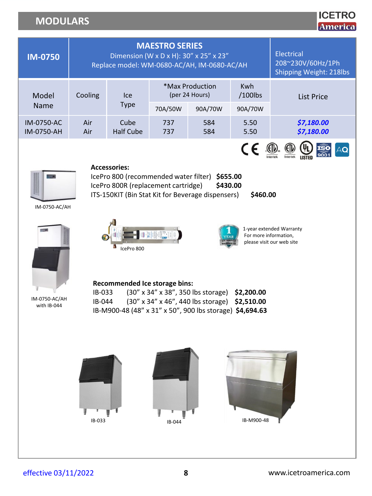### **ICETRO America**

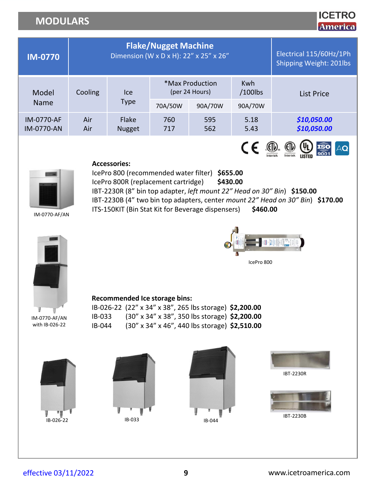# **ICETRO**

|                                                               |                  |                                                                                                                                                                                                                                                                         |                             |                                                                                                                      |                              | <u>AIMELICA</u>                                                                                                                                                                            |
|---------------------------------------------------------------|------------------|-------------------------------------------------------------------------------------------------------------------------------------------------------------------------------------------------------------------------------------------------------------------------|-----------------------------|----------------------------------------------------------------------------------------------------------------------|------------------------------|--------------------------------------------------------------------------------------------------------------------------------------------------------------------------------------------|
| <b>IM-0770</b>                                                |                  |                                                                                                                                                                                                                                                                         | <b>Flake/Nugget Machine</b> | Dimension (W x D x H): 22" x 25" x 26"                                                                               |                              | Electrical 115/60Hz/1Ph<br>Shipping Weight: 201lbs                                                                                                                                         |
| Model                                                         | Cooling          | Ice                                                                                                                                                                                                                                                                     |                             | *Max Production<br>(per 24 Hours)                                                                                    | Kwh<br>$/100$ lbs            | <b>List Price</b>                                                                                                                                                                          |
| Name                                                          |                  | <b>Type</b>                                                                                                                                                                                                                                                             | 70A/50W                     | 90A/70W                                                                                                              | 90A/70W                      |                                                                                                                                                                                            |
| <b>IM-0770-AF</b><br><b>IM-0770-AN</b>                        | Air<br>Air       | Flake<br><b>Nugget</b>                                                                                                                                                                                                                                                  | 760<br>717                  | 595<br>562                                                                                                           | 5.18<br>5.43                 | \$10,050.00<br>\$10,050.00                                                                                                                                                                 |
| IM-0770-AF/AN<br>IM-0770-AF/AN<br>with IB-026-22<br>IB-026-22 | IB-033<br>IB-044 | <b>Accessories:</b><br>IcePro 800 (recommended water filter) \$655.00<br>IcePro 800R (replacement cartridge)<br>ITS-150KIT (Bin Stat Kit for Beverage dispensers)<br>Recommended Ice storage bins:<br>IB-026-22 (22" x 34" x 38", 265 lbs storage) \$2,200.00<br>IB-033 |                             | \$430.00<br>(30" x 34" x 38", 350 lbs storage) \$2,200.00<br>(30" x 34" x 46", 440 lbs storage) \$2,510.00<br>IB-044 | CE<br>\$460.00<br>IcePro 800 | IBT-2230R (8" bin top adapter, left mount 22" Head on 30" Bin) \$150.00<br>IBT-2230B (4" two bin top adapters, center mount 22" Head on 30" Bin) \$170.00<br><b>IBT-2230R</b><br>IBT-2230B |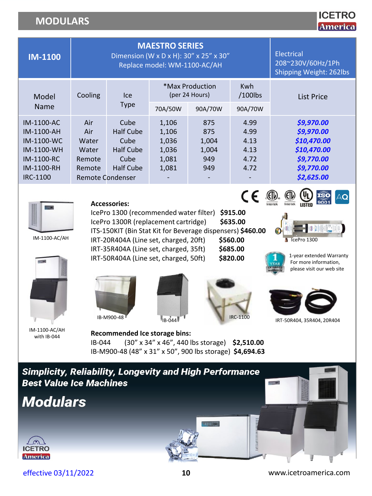| – 1 R            |
|------------------|
| Æ<br>mem<br>74 Y |

| <b>IM-1100</b>                                                                                        |                                                                      | <b>MAESTRO SERIES</b><br>Dimension (W x D x H): 30" x 25" x 30"<br>Replace model: WM-1100-AC/AH | <b>Electrical</b><br>208~230V/60Hz/1Ph<br>Shipping Weight: 262lbs |                                            |                                              |                                                                                                  |
|-------------------------------------------------------------------------------------------------------|----------------------------------------------------------------------|-------------------------------------------------------------------------------------------------|-------------------------------------------------------------------|--------------------------------------------|----------------------------------------------|--------------------------------------------------------------------------------------------------|
| Model                                                                                                 | Cooling                                                              | lce.                                                                                            |                                                                   | *Max Production<br>(per 24 Hours)          | <b>Kwh</b><br>$/100$ lbs                     | List Price                                                                                       |
| Name                                                                                                  |                                                                      | <b>Type</b>                                                                                     | 70A/50W                                                           | 90A/70W                                    | 90A/70W                                      |                                                                                                  |
| IM-1100-AC<br>IM-1100-AH<br>$IM-1100-WC$<br>IM-1100-WH<br><b>IM-1100-RC</b><br>IM-1100-RH<br>IRC-1100 | Air<br>Air<br>Water<br>Water<br>Remote<br>Remote<br>Remote Condenser | Cube<br><b>Half Cube</b><br>Cube<br><b>Half Cube</b><br>Cube<br><b>Half Cube</b>                | 1,106<br>1,106<br>1,036<br>1,036<br>1,081<br>1,081                | 875<br>875<br>1,004<br>1,004<br>949<br>949 | 4.99<br>4.99<br>4.13<br>4.13<br>4.72<br>4.72 | \$9,970.00<br>\$9,970.00<br>\$10,470.00<br>\$10,470.00<br>\$9,770.00<br>\$9,770.00<br>\$2,625.00 |



IM-1100-AC/AH





#### **Accessories:**

IcePro 1300 (recommended water filter) **\$915.00** IcePro 1300R (replacement cartridge) **\$635.00**

ITS-150KIT (Bin Stat Kit for Beverage dispensers) **\$460.00** IRT-20R404A (Line set, charged, 20ft) **\$560.00**

IRT-35R404A (Line set, charged, 35ft) **\$685.00**

IRT-50R404A (Line set, charged, 50ft) **\$820.00**





IcePro 1300



**SOUTHERN** 

1-year extended Warranty For more information, please visit our web site

 $AQ$ 







IM-1100-AC/AH with IB-044

#### **Recommended Ice storage bins:** IB-044 (30" x 34" x 46", 440 lbs storage) **\$2,510.00** IB-M900-48 (48" x 31" x 50", 900 lbs storage) **\$4,694.63**

**Simplicity, Reliability, Longevity and High Performance Best Value Ice Machines** 







arration.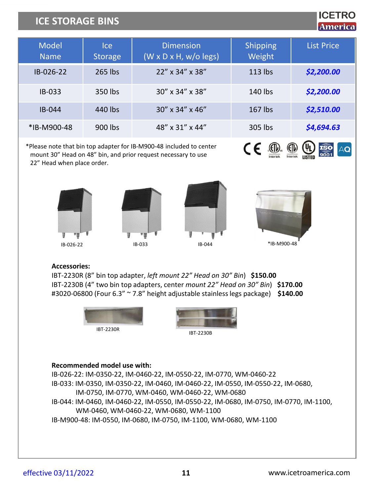# **ICE STORAGE BINS**

# **ICETRO America**

| <b>Model</b><br><b>Name</b> | <b>Ice</b><br><b>Storage</b> | <b>Dimension</b><br>$(W \times \overline{D \times H}$ , w/o legs) | <b>Shipping</b><br>Weight | <b>List Price</b> |
|-----------------------------|------------------------------|-------------------------------------------------------------------|---------------------------|-------------------|
| IB-026-22                   | 265 lbs                      | $22''$ x 34" x 38"                                                | $113$ lbs                 | \$2,200.00        |
| $IB-033$                    | 350 lbs                      | $30''$ x $34''$ x $38''$                                          | 140 lbs                   | \$2,200.00        |
| $IB-044$                    | 440 lbs                      | $30''$ x $34''$ x $46''$                                          | $167$ lbs                 | \$2,510.00        |
| *IB-M900-48                 | 900 lbs                      | 48" x 31" x 44"                                                   | 305 lbs                   | \$4,694.63        |

\*Please note that bin top adapter for IB-M900-48 included to center mount 30" Head on 48" bin, and prior request necessary to use 22" Head when place order.









 $C \in \mathbb{R}$   $\oplus$ 

#### **Accessories:**

IBT-2230R (8" bin top adapter, *left mount 22" Head on 30" Bin*) **\$150.00** IBT-2230B (4" two bin top adapters, center *mount 22" Head on 30" Bin*) **\$170.00** #3020-06800 (Four 6.3" ~ 7.8" height adjustable stainless legs package) **\$140.00**





#### **Recommended model use with:**

IB-026-22: IM-0350-22, IM-0460-22, IM-0550-22, IM-0770, WM-0460-22 IB-033: IM-0350, IM-0350-22, IM-0460, IM-0460-22, IM-0550, IM-0550-22, IM-0680, IM-0750, IM-0770, WM-0460, WM-0460-22, WM-0680 IB-044: IM-0460, IM-0460-22, IM-0550, IM-0550-22, IM-0680, IM-0750, IM-0770, IM-1100, WM-0460, WM-0460-22, WM-0680, WM-1100 IB-M900-48: IM-0550, IM-0680, IM-0750, IM-1100, WM-0680, WM-1100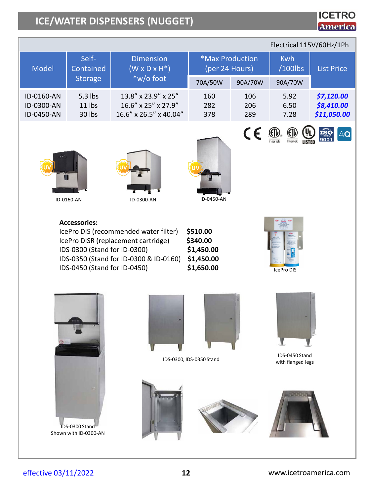# **ICE/WATER DISPENSERS (NUGGET)**

#### Model Self-Contained Storage **Dimension**  $(W \times D \times H^*)$ \*w/o foot \*Max Production (per 24 Hours) Kwh /100lbs List Price 70A/50W 90A/70W 90A/70W ID-0160-AN ID-0300-AN ID-0450-AN 5.3 lbs 11 lbs 30 lbs 13.8" x 23.9" x 25" 16.6" x 25" x 27.9" 16.6" x 26.5" x 40.04" 160 282 378 106 206 289 5.92 6.50 7.28 *\$7,120.00 \$8,410.00 \$11,050.00* Electrical 115V/60Hz/1Ph



ID-0160-AN





**Accessories:**

IcePro DIS (recommended water filter) **\$510.00** IcePro DISR (replacement cartridge) **\$340.00** IDS-0300 (Stand for ID-0300) **\$1,450.00** IDS-0350 (Stand for ID-0300 & ID-0160) **\$1,450.00** IDS-0450 (Stand for ID-0450) **\$1,650.00**



 $C \in \mathbb{C}$   $\mathbb{C}$   $\mathbb{C}$   $\mathbb{C}$ 

**ICETRO America** 

**ISO** 



Shown with ID-0300-AN



IDS-0300, IDS-0350 Stand







IDS-0450 Stand with flanged legs

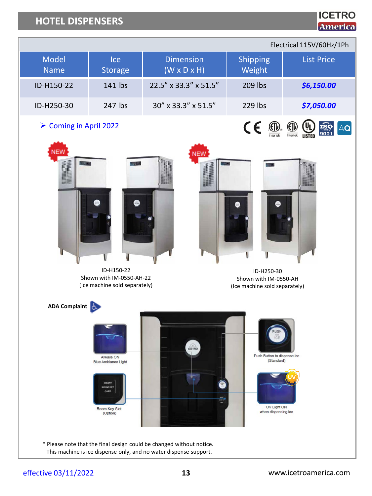# **HOTEL DISPENSERS**

Electrical 115V/60Hz/1Ph

| <b>Model</b><br><b>Name</b> | Ice<br>Storage                                                                                     | <b>Dimension</b><br>$(W \times D \times H)$                                    | Shipping<br>Weight                                                              | <b>List Price</b>         |
|-----------------------------|----------------------------------------------------------------------------------------------------|--------------------------------------------------------------------------------|---------------------------------------------------------------------------------|---------------------------|
| ID-H150-22                  | 141 lbs                                                                                            | 22.5" x 33.3" x 51.5"                                                          | 209 lbs                                                                         | \$6,150.00                |
| ID-H250-30                  | 247 lbs                                                                                            | 30" x 33.3" x 51.5"                                                            | 229 lbs                                                                         | \$7,050.00                |
| > Coming in April 2022      |                                                                                                    |                                                                                | $\epsilon$<br>ntertek                                                           | $\mathsf{AQ}$<br>Intertek |
| NEW                         | ID-H150-22<br>Shown with IM-0550-AH-22<br>(Ice machine sold separately)                            | <b>NEW</b>                                                                     | ID-H250-30<br>Shown with IM-0550-AH<br>(Ice machine sold separately)            |                           |
| ADA Complaint               | Always ON<br><b>Blue Ambiance Light</b><br>INGERO<br>ROOM KEY<br>CARD<br>Room Key Slot<br>(Option) | ICETRO<br>* Please note that the final design could be changed without notice. | Push Button to dispense ice<br>(Standard)<br>UV Light ON<br>when dispensing ice |                           |
|                             |                                                                                                    | This machine is ice dispense only, and no water dispense support.              |                                                                                 |                           |